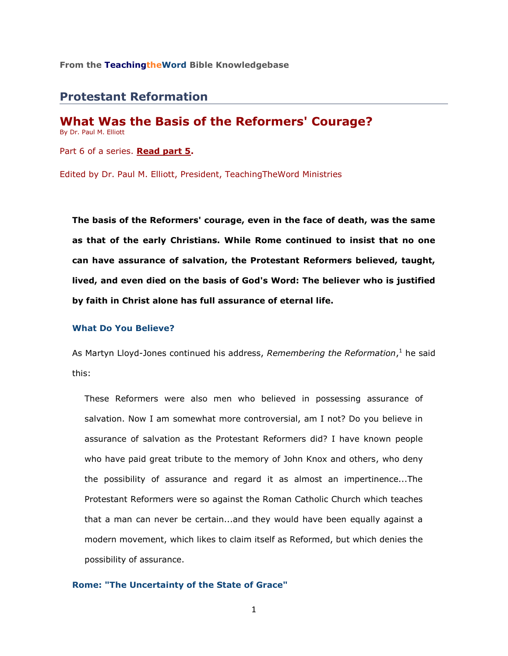**From the TeachingtheWord Bible Knowledgebase**

# **Protestant Reformation**

**What Was the Basis of the Reformers' Courage?** By Dr. Paul M. Elliott Part 6 of a series. **[Read part 5.](http://www.teachingtheword.org/apps/articles/web/articleid/59698/columnid/5787/default.asp)**

Edited by Dr. Paul M. Elliott, President, TeachingTheWord Ministries

**The basis of the Reformers' courage, even in the face of death, was the same as that of the early Christians. While Rome continued to insist that no one can have assurance of salvation, the Protestant Reformers believed, taught, lived, and even died on the basis of God's Word: The believer who is justified by faith in Christ alone has full assurance of eternal life.** 

### **What Do You Believe?**

As Martyn Lloyd-Jones continued his address, *Remembering the Reformation*, <sup>1</sup> he said this:

These Reformers were also men who believed in possessing assurance of salvation. Now I am somewhat more controversial, am I not? Do you believe in assurance of salvation as the Protestant Reformers did? I have known people who have paid great tribute to the memory of John Knox and others, who deny the possibility of assurance and regard it as almost an impertinence...The Protestant Reformers were so against the Roman Catholic Church which teaches that a man can never be certain...and they would have been equally against a modern movement, which likes to claim itself as Reformed, but which denies the possibility of assurance.

**Rome: "The Uncertainty of the State of Grace"**

1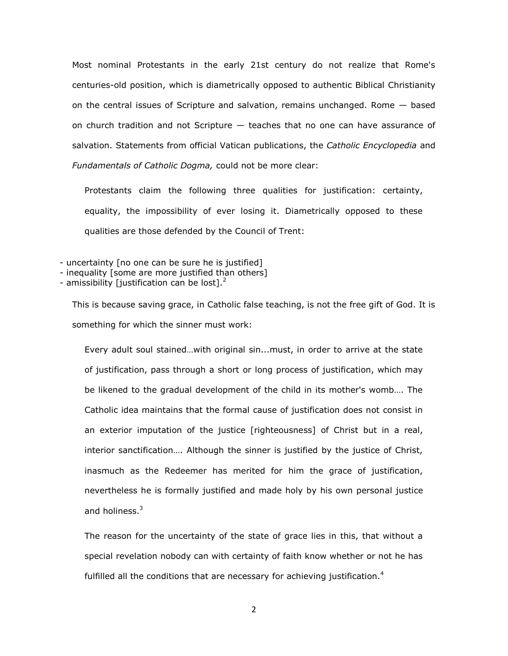Most nominal Protestants in the early 21st century do not realize that Rome's centuries-old position, which is diametrically opposed to authentic Biblical Christianity on the central issues of Scripture and salvation, remains unchanged. Rome  $-$  based on church tradition and not Scripture — teaches that no one can have assurance of salvation. Statements from official Vatican publications, the *Catholic Encyclopedia* and *Fundamentals of Catholic Dogma,* could not be more clear:

Protestants claim the following three qualities for justification: certainty, equality, the impossibility of ever losing it. Diametrically opposed to these qualities are those defended by the Council of Trent:

- uncertainty [no one can be sure he is justified]

- inequality [some are more justified than others]

- amissibility [justification can be lost]. $<sup>2</sup>$ </sup>

This is because saving grace, in Catholic false teaching, is not the free gift of God. It is something for which the sinner must work:

Every adult soul stained…with original sin...must, in order to arrive at the state of justification, pass through a short or long process of justification, which may be likened to the gradual development of the child in its mother's womb…. The Catholic idea maintains that the formal cause of justification does not consist in an exterior imputation of the justice [righteousness] of Christ but in a real, interior sanctification…. Although the sinner is justified by the justice of Christ, inasmuch as the Redeemer has merited for him the grace of justification, nevertheless he is formally justified and made holy by his own personal justice and holiness. $3$ 

The reason for the uncertainty of the state of grace lies in this, that without a special revelation nobody can with certainty of faith know whether or not he has fulfilled all the conditions that are necessary for achieving justification.<sup>4</sup>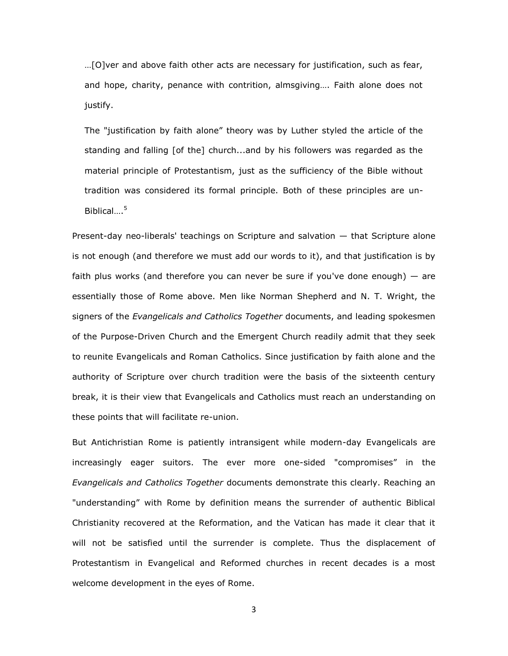…[O]ver and above faith other acts are necessary for justification, such as fear, and hope, charity, penance with contrition, almsgiving…. Faith alone does not justify.

The "justification by faith alone" theory was by Luther styled the article of the standing and falling [of the] church...and by his followers was regarded as the material principle of Protestantism, just as the sufficiency of the Bible without tradition was considered its formal principle. Both of these principles are un-Biblical. $5<sup>5</sup>$ 

Present-day neo-liberals' teachings on Scripture and salvation — that Scripture alone is not enough (and therefore we must add our words to it), and that justification is by faith plus works (and therefore you can never be sure if you've done enough)  $-$  are essentially those of Rome above. Men like Norman Shepherd and N. T. Wright, the signers of the *Evangelicals and Catholics Together* documents, and leading spokesmen of the Purpose-Driven Church and the Emergent Church readily admit that they seek to reunite Evangelicals and Roman Catholics. Since justification by faith alone and the authority of Scripture over church tradition were the basis of the sixteenth century break, it is their view that Evangelicals and Catholics must reach an understanding on these points that will facilitate re-union.

But Antichristian Rome is patiently intransigent while modern-day Evangelicals are increasingly eager suitors. The ever more one-sided "compromises" in the *Evangelicals and Catholics Together* documents demonstrate this clearly. Reaching an "understanding" with Rome by definition means the surrender of authentic Biblical Christianity recovered at the Reformation, and the Vatican has made it clear that it will not be satisfied until the surrender is complete. Thus the displacement of Protestantism in Evangelical and Reformed churches in recent decades is a most welcome development in the eyes of Rome.

3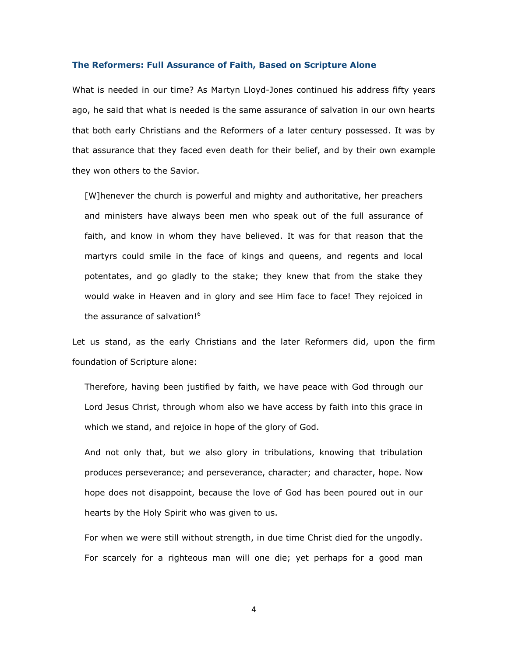### **The Reformers: Full Assurance of Faith, Based on Scripture Alone**

What is needed in our time? As Martyn Lloyd-Jones continued his address fifty years ago, he said that what is needed is the same assurance of salvation in our own hearts that both early Christians and the Reformers of a later century possessed. It was by that assurance that they faced even death for their belief, and by their own example they won others to the Savior.

[W]henever the church is powerful and mighty and authoritative, her preachers and ministers have always been men who speak out of the full assurance of faith, and know in whom they have believed. It was for that reason that the martyrs could smile in the face of kings and queens, and regents and local potentates, and go gladly to the stake; they knew that from the stake they would wake in Heaven and in glory and see Him face to face! They rejoiced in the assurance of salvation!<sup>6</sup>

Let us stand, as the early Christians and the later Reformers did, upon the firm foundation of Scripture alone:

Therefore, having been justified by faith, we have peace with God through our Lord Jesus Christ, through whom also we have access by faith into this grace in which we stand, and rejoice in hope of the glory of God.

And not only that, but we also glory in tribulations, knowing that tribulation produces perseverance; and perseverance, character; and character, hope. Now hope does not disappoint, because the love of God has been poured out in our hearts by the Holy Spirit who was given to us.

For when we were still without strength, in due time Christ died for the ungodly. For scarcely for a righteous man will one die; yet perhaps for a good man

4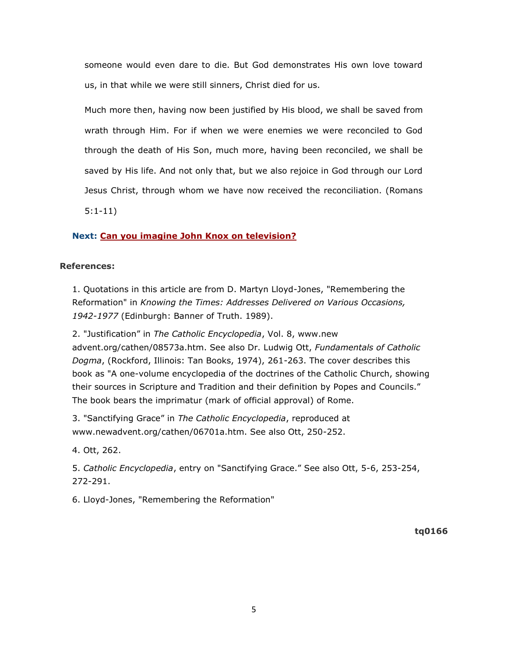someone would even dare to die. But God demonstrates His own love toward us, in that while we were still sinners, Christ died for us.

Much more then, having now been justified by His blood, we shall be saved from wrath through Him. For if when we were enemies we were reconciled to God through the death of His Son, much more, having been reconciled, we shall be saved by His life. And not only that, but we also rejoice in God through our Lord Jesus Christ, through whom we have now received the reconciliation. (Romans 5:1-11)

## **Next: [Can you imagine John Knox on television?](http://www.teachingtheword.org/apps/articles/web/articleid/59701/columnid/5787/default.asp)**

## **References:**

1. Quotations in this article are from D. Martyn Lloyd-Jones, "Remembering the Reformation" in *Knowing the Times: Addresses Delivered on Various Occasions, 1942-1977* (Edinburgh: Banner of Truth. 1989).

2. "Justification" in *The Catholic Encyclopedia*, Vol. 8, www.new advent.org/cathen/08573a.htm. See also Dr. Ludwig Ott, *Fundamentals of Catholic Dogma*, (Rockford, Illinois: Tan Books, 1974), 261-263. The cover describes this book as "A one-volume encyclopedia of the doctrines of the Catholic Church, showing their sources in Scripture and Tradition and their definition by Popes and Councils." The book bears the imprimatur (mark of official approval) of Rome.

3. "Sanctifying Grace" in *The Catholic Encyclopedia*, reproduced at www.newadvent.org/cathen/06701a.htm. See also Ott, 250-252.

4. Ott, 262.

5. *Catholic Encyclopedia*, entry on "Sanctifying Grace." See also Ott, 5-6, 253-254, 272-291.

6. Lloyd-Jones, "Remembering the Reformation"

**tq0166**